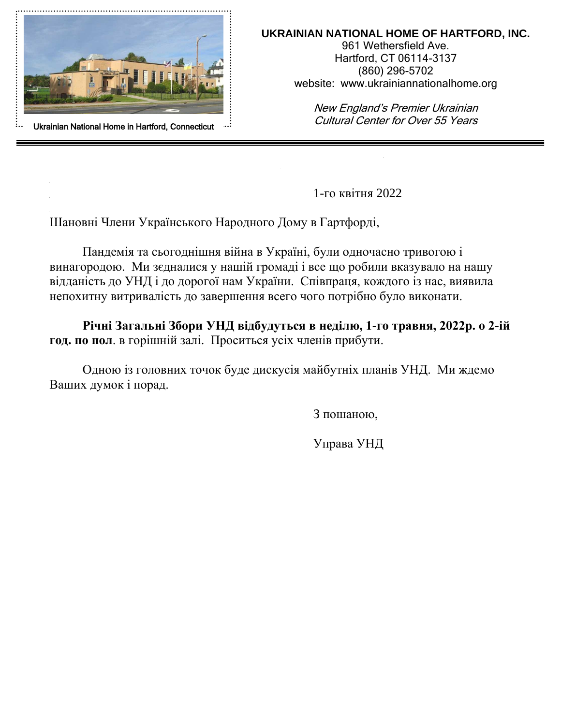

#### **UKRAINIAN NATIONAL HOME OF HARTFORD, INC.**

961 Wethersfield Ave. Hartford, CT 06114-3137 (860) 296-5702 website: www.ukrainiannationalhome.org

New England's Premier Ukrainian Cultural Center for Over 55 Years

1-го квітня 2022

Шановні Члени Українського Народного Дому в Гартфорді,

Пандемія та сьогоднішня війна в Україні, були одночасно тривогою і винагородою. Ми зєдналися у нашій громаді і все що робили вказувало на нашу відданість до УНД і до дорогої нам України. Співпраця, кождого із нас, виявила непохитну витривалість до завершення всего чого потрібно було виконати.

**Річні Загальні Збори УНД відбудуться в неділю, 1-го травня, 2022р. о 2-ій год. по пол**. в горішній залі. Проситься усіх членів прибути.

Одною із головних точок буде дискусія майбутніх планів УНД. Ми ждемо Ваших думок і порад.

З пошаною,

Управа УНД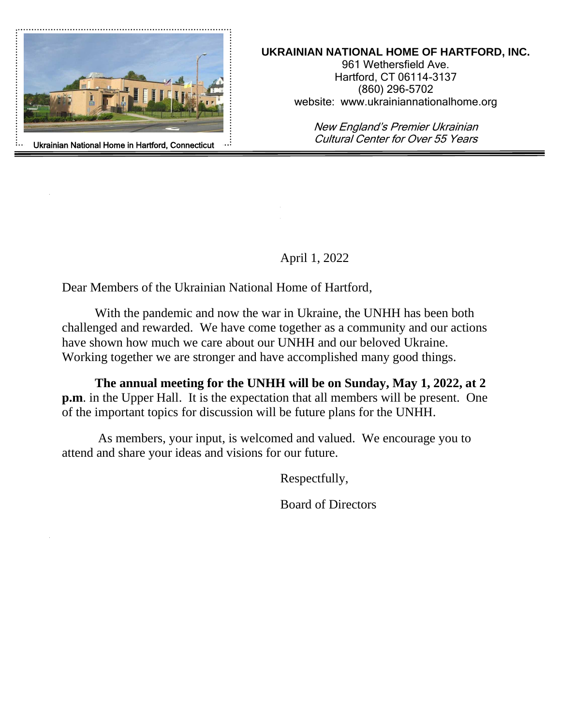

#### **UKRAINIAN NATIONAL HOME OF HARTFORD, INC.**

961 Wethersfield Ave. Hartford, CT 06114-3137 (860) 296-5702 website: www.ukrainiannationalhome.org

New England's Premier Ukrainian Cultural Center for Over 55 Years

April 1, 2022

Dear Members of the Ukrainian National Home of Hartford,

With the pandemic and now the war in Ukraine, the UNHH has been both challenged and rewarded. We have come together as a community and our actions have shown how much we care about our UNHH and our beloved Ukraine. Working together we are stronger and have accomplished many good things.

**The annual meeting for the UNHH will be on Sunday, May 1, 2022, at 2 p.m**. in the Upper Hall. It is the expectation that all members will be present. One of the important topics for discussion will be future plans for the UNHH.

As members, your input, is welcomed and valued. We encourage you to attend and share your ideas and visions for our future.

Respectfully,

Board of Directors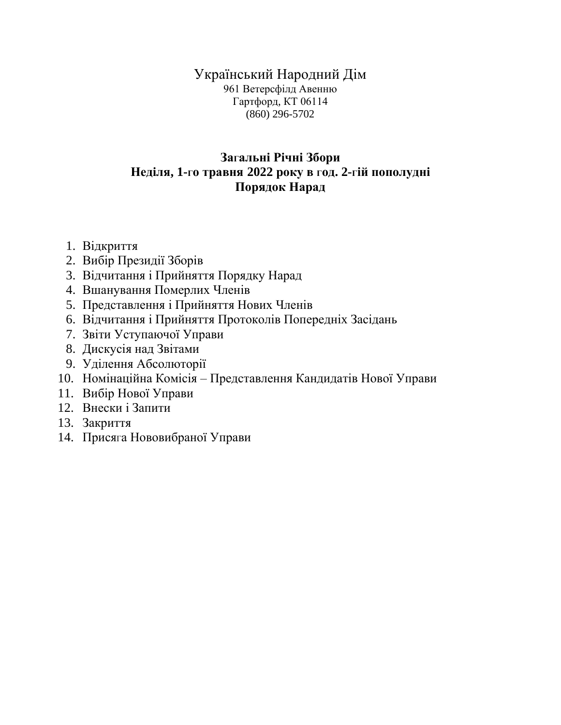# Український Народний Дім

961 Ветерсфілд Авенню Гартфорд, КТ 06114 (860) 296-5702

## **ЗаГальні Pічні Збори Неділя, 1-Го травня 2022 року в <sup>Г</sup>од. 2-Гій пополудні Порядок Нарад**

- 1. Відкриття
- 2. Вибір Президії Зборів
- 3. Відчитання і Прийняття Порядку Нарад
- 4. Вшанування Померлих Членів
- 5. Представлення і Прийняття Нових Членів
- 6. Відчитання і Прийняття Протоколів Попередніx Засідань
- 7. Звіти Уступаючої Управи
- 8. Дискусія над Звітами
- 9. Уділення Абсолюторії
- 10. Номінаційна Комісія Представлення Кандидатів Нової Управи
- 11. Вибір Нової Управи
- 12. Внески і Запити
- 13. Закриття
- 14. ПрисяГа Нововибраної Управи